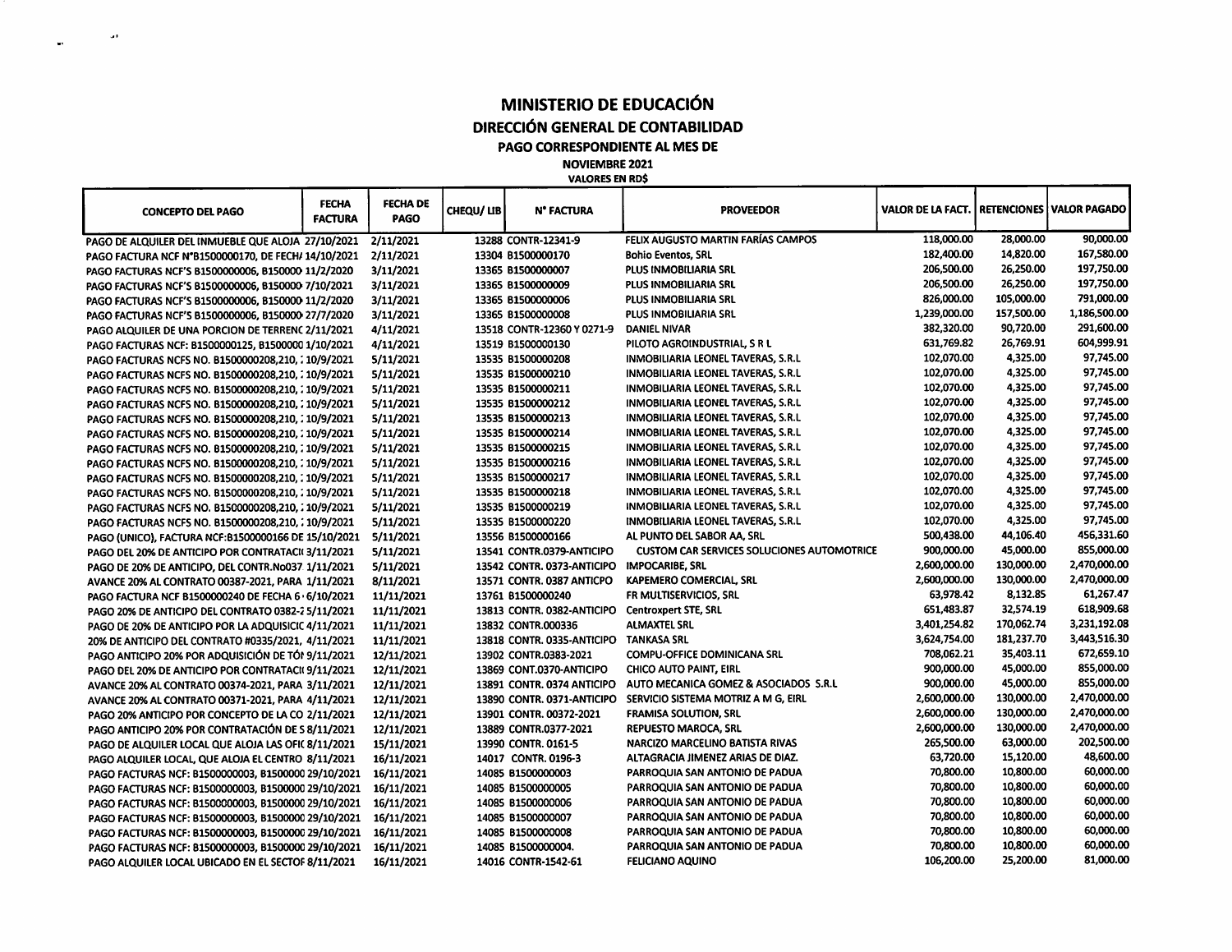## **MINISTERIO DE EDUCACIÓN DIRECCIÓN GENERAL DE CONTABILIDAD PAGO CORRESPONDIENTE AL MES DE NOVIEMBRE 2021**

 $\sim 10^{11}$  and

 $\ddot{\phantom{a}}$ 

**VALORES EN RD\$**

| <b>CONCEPTO DEL PAGO</b>                            | <b>FECHA</b><br><b>FACTURA</b> | <b>FECHA DE</b><br><b>PAGO</b> | CHEQU/ LIB | <b>N° FACTURA</b>          | <b>PROVEEDOR</b>                                  | VALOR DE LA FACT.   RETENCIONES   VALOR PAGADO |            |              |
|-----------------------------------------------------|--------------------------------|--------------------------------|------------|----------------------------|---------------------------------------------------|------------------------------------------------|------------|--------------|
| PAGO DE ALQUILER DEL INMUEBLE QUE ALOJA 27/10/2021  |                                | 2/11/2021                      |            | 13288 CONTR-12341-9        | FELIX AUGUSTO MARTIN FARÍAS CAMPOS                | 118,000.00                                     | 28,000.00  | 90,000.00    |
| PAGO FACTURA NCF N°B1500000170, DE FECH/ 14/10/2021 |                                | 2/11/2021                      |            | 13304 B1500000170          | <b>Bohio Eventos, SRL</b>                         | 182,400.00                                     | 14,820.00  | 167,580.00   |
| PAGO FACTURAS NCF'S B1500000006, B150000 11/2/2020  |                                | 3/11/2021                      |            | 13365 B1500000007          | PLUS INMOBILIARIA SRL                             | 206,500.00                                     | 26,250.00  | 197,750.00   |
| PAGO FACTURAS NCF'S B1500000006, B150000 7/10/2021  |                                | 3/11/2021                      |            | 13365 B1500000009          | PLUS INMOBILIARIA SRL                             | 206,500.00                                     | 26,250.00  | 197,750.00   |
| PAGO FACTURAS NCF'S B1500000006, B150000 11/2/2020  |                                | 3/11/2021                      |            | 13365 B1500000006          | <b>PLUS INMOBILIARIA SRL</b>                      | 826,000.00                                     | 105,000.00 | 791,000.00   |
| PAGO FACTURAS NCF'S B1500000006, B150000 27/7/2020  |                                | 3/11/2021                      |            | 13365 B1500000008          | PLUS INMOBILIARIA SRL                             | 1,239,000.00                                   | 157,500.00 | 1,186,500.00 |
| PAGO ALQUILER DE UNA PORCION DE TERRENC 2/11/2021   |                                | 4/11/2021                      |            | 13518 CONTR-12360 Y 0271-9 | <b>DANIEL NIVAR</b>                               | 382,320.00                                     | 90,720.00  | 291,600.00   |
| PAGO FACTURAS NCF: B1500000125, B1500000 1/10/2021  |                                | 4/11/2021                      |            | 13519 B1500000130          | PILOTO AGROINDUSTRIAL, S R L                      | 631,769.82                                     | 26,769.91  | 604,999.91   |
| PAGO FACTURAS NCFS NO. B1500000208,210, : 10/9/2021 |                                | 5/11/2021                      |            | 13535 B1500000208          | INMOBILIARIA LEONEL TAVERAS, S.R.L                | 102,070.00                                     | 4,325.00   | 97,745.00    |
| PAGO FACTURAS NCFS NO. 81500000208.210, : 10/9/2021 |                                | 5/11/2021                      |            | 13535 B1500000210          | INMOBILIARIA LEONEL TAVERAS, S.R.L                | 102,070.00                                     | 4,325.00   | 97,745.00    |
| PAGO FACTURAS NCFS NO. B1500000208,210, : 10/9/2021 |                                | 5/11/2021                      |            | 13535 B1500000211          | INMOBILIARIA LEONEL TAVERAS, S.R.L                | 102,070.00                                     | 4,325.00   | 97,745.00    |
| PAGO FACTURAS NCFS NO. B1500000208,210, : 10/9/2021 |                                | 5/11/2021                      |            | 13535 81500000212          | INMOBILIARIA LEONEL TAVERAS, S.R.L                | 102,070.00                                     | 4,325.00   | 97,745.00    |
| PAGO FACTURAS NCFS NO. B1500000208,210, : 10/9/2021 |                                | 5/11/2021                      |            | 13535 B1500000213          | INMOBILIARIA LEONEL TAVERAS, S.R.L                | 102,070.00                                     | 4,325.00   | 97,745.00    |
| PAGO FACTURAS NCFS NO. B1500000208,210, : 10/9/2021 |                                | 5/11/2021                      |            | 13535 B1500000214          | INMOBILIARIA LEONEL TAVERAS, S.R.L                | 102,070.00                                     | 4,325.00   | 97,745.00    |
| PAGO FACTURAS NCFS NO. B1500000208,210, : 10/9/2021 |                                | 5/11/2021                      |            | 13535 B1500000215          | INMOBILIARIA LEONEL TAVERAS, S.R.L                | 102,070.00                                     | 4,325.00   | 97,745.00    |
| PAGO FACTURAS NCFS NO. 81500000208,210, : 10/9/2021 |                                | 5/11/2021                      |            | 13535 B1500000216          | INMOBILIARIA LEONEL TAVERAS, S.R.L                | 102,070.00                                     | 4,325.00   | 97,745.00    |
| PAGO FACTURAS NCFS NO. B1500000208,210, : 10/9/2021 |                                | 5/11/2021                      |            | 13535 B1500000217          | INMOBILIARIA LEONEL TAVERAS, S.R.L                | 102,070.00                                     | 4,325.00   | 97,745.00    |
| PAGO FACTURAS NCFS NO. B1500000208,210, : 10/9/2021 |                                | 5/11/2021                      |            | 13535 B1500000218          | INMOBILIARIA LEONEL TAVERAS, S.R.L                | 102,070.00                                     | 4,325.00   | 97,745.00    |
| PAGO FACTURAS NCFS NO. B1500000208,210, : 10/9/2021 |                                | 5/11/2021                      |            | 13535 B1500000219          | INMOBILIARIA LEONEL TAVERAS, S.R.L                | 102,070.00                                     | 4,325.00   | 97,745.00    |
| PAGO FACTURAS NCFS NO. B1500000208,210, ; 10/9/2021 |                                | 5/11/2021                      |            | 13535 B1500000220          | INMOBILIARIA LEONEL TAVERAS, S.R.L                | 102,070.00                                     | 4,325.00   | 97,745.00    |
| PAGO (UNICO), FACTURA NCF:B1500000166 DE 15/10/2021 |                                | 5/11/2021                      |            | 13556 B1500000166          | AL PUNTO DEL SABOR AA, SRL                        | 500,438.00                                     | 44,106.40  | 456,331.60   |
| PAGO DEL 20% DE ANTICIPO POR CONTRATACI(3/11/2021   |                                | 5/11/2021                      |            | 13541 CONTR.0379-ANTICIPO  | <b>CUSTOM CAR SERVICES SOLUCIONES AUTOMOTRICE</b> | 900,000.00                                     | 45,000.00  | 855,000.00   |
| PAGO DE 20% DE ANTICIPO, DEL CONTR. No037 1/11/2021 |                                | 5/11/2021                      |            | 13542 CONTR. 0373-ANTICIPO | <b>IMPOCARIBE, SRL</b>                            | 2,600,000.00                                   | 130,000.00 | 2,470,000.00 |
| AVANCE 20% AL CONTRATO 00387-2021, PARA 1/11/2021   |                                | 8/11/2021                      |            | 13571 CONTR. 0387 ANTICPO  | <b>KAPEMERO COMERCIAL, SRL</b>                    | 2,600,000.00                                   | 130,000.00 | 2,470,000.00 |
| PAGO FACTURA NCF B1500000240 DE FECHA 6 · 6/10/2021 |                                | 11/11/2021                     |            | 13761 B1500000240          | FR MULTISERVICIOS, SRL                            | 63,978.42                                      | 8,132.85   | 61,267.47    |
| PAGO 20% DE ANTICIPO DEL CONTRATO 0382-2 5/11/2021  |                                | 11/11/2021                     |            | 13813 CONTR. 0382-ANTICIPO | <b>Centroxpert STE, SRL</b>                       | 651,483.87                                     | 32,574.19  | 618,909.68   |
| PAGO DE 20% DE ANTICIPO POR LA ADQUISICIC 4/11/2021 |                                | 11/11/2021                     |            | 13832 CONTR.000336         | <b>ALMAXTEL SRL</b>                               | 3,401,254.82                                   | 170,062.74 | 3,231,192.08 |
| 20% DE ANTICIPO DEL CONTRATO #0335/2021, 4/11/2021  |                                | 11/11/2021                     |            | 13818 CONTR. 0335-ANTICIPO | <b>TANKASA SRL</b>                                | 3,624,754.00                                   | 181,237.70 | 3,443,516.30 |
| PAGO ANTICIPO 20% POR ADQUISICIÓN DE TÓI 9/11/2021  |                                | 12/11/2021                     |            | 13902 CONTR.0383-2021      | <b>COMPU-OFFICE DOMINICANA SRL</b>                | 708,062.21                                     | 35,403.11  | 672,659.10   |
| PAGO DEL 20% DE ANTICIPO POR CONTRATACI(9/11/2021   |                                | 12/11/2021                     |            | 13869 CONT.0370-ANTICIPO   | <b>CHICO AUTO PAINT, EIRL</b>                     | 900,000.00                                     | 45,000.00  | 855,000.00   |
| AVANCE 20% AL CONTRATO 00374-2021, PARA 3/11/2021   |                                | 12/11/2021                     |            | 13891 CONTR. 0374 ANTICIPO | AUTO MECANICA GOMEZ & ASOCIADOS S.R.L             | 900,000.00                                     | 45,000.00  | 855,000.00   |
| AVANCE 20% AL CONTRATO 00371-2021, PARA 4/11/2021   |                                | 12/11/2021                     |            | 13890 CONTR. 0371-ANTICIPO | SERVICIO SISTEMA MOTRIZ A M G, EIRL               | 2,600,000.00                                   | 130,000.00 | 2,470,000.00 |
| PAGO 20% ANTICIPO POR CONCEPTO DE LA CO 2/11/2021   |                                | 12/11/2021                     |            | 13901 CONTR. 00372-2021    | <b>FRAMISA SOLUTION, SRL</b>                      | 2,600,000.00                                   | 130,000.00 | 2,470,000.00 |
| PAGO ANTICIPO 20% POR CONTRATACIÓN DE S 8/11/2021   |                                | 12/11/2021                     |            | 13889 CONTR.0377-2021      | REPUESTO MAROCA, SRL                              | 2,600,000.00                                   | 130,000.00 | 2,470,000.00 |
| PAGO DE ALQUILER LOCAL QUE ALOJA LAS OFIC 8/11/2021 |                                | 15/11/2021                     |            | 13990 CONTR. 0161-5        | NARCIZO MARCELINO BATISTA RIVAS                   | 265,500.00                                     | 63,000.00  | 202,500.00   |
| PAGO ALQUILER LOCAL, QUE ALOJA EL CENTRO 8/11/2021  |                                | 16/11/2021                     |            | 14017 CONTR. 0196-3        | ALTAGRACIA JIMENEZ ARIAS DE DIAZ.                 | 63,720.00                                      | 15,120.00  | 48,600.00    |
| PAGO FACTURAS NCF: B1500000003, B1500000 29/10/2021 |                                | 16/11/2021                     |            | 14085 B1500000003          | PARROQUIA SAN ANTONIO DE PADUA                    | 70,800.00                                      | 10,800.00  | 60,000.00    |
| PAGO FACTURAS NCF: B1500000003, B1500000 29/10/2021 |                                | 16/11/2021                     |            | 14085 81500000005          | PARROQUIA SAN ANTONIO DE PADUA                    | 70,800.00                                      | 10,800.00  | 60,000.00    |
| PAGO FACTURAS NCF: B1500000003, B1500000 29/10/2021 |                                | 16/11/2021                     |            | 14085 B1500000006          | PARROQUIA SAN ANTONIO DE PADUA                    | 70,800.00                                      | 10,800.00  | 60,000.00    |
| PAGO FACTURAS NCF: B1500000003, B1500000 29/10/2021 |                                | 16/11/2021                     |            | 14085 B1500000007          | PARROQUIA SAN ANTONIO DE PADUA                    | 70,800.00                                      | 10,800.00  | 60,000.00    |
| PAGO FACTURAS NCF: B1500000003, B1500000 29/10/2021 |                                | 16/11/2021                     |            | 14085 B1500000008          | PARROQUIA SAN ANTONIO DE PADUA                    | 70,800.00                                      | 10,800.00  | 60,000.00    |
| PAGO FACTURAS NCF: 81500000003, B1500000 29/10/2021 |                                | 16/11/2021                     |            | 14085 B1500000004.         | PARROQUIA SAN ANTONIO DE PADUA                    | 70,800.00                                      | 10,800.00  | 60,000.00    |
| PAGO ALQUILER LOCAL UBICADO EN EL SECTOF 8/11/2021  |                                | 16/11/2021                     |            | 14016 CONTR-1542-61        | <b>FELICIANO AQUINO</b>                           | 106,200.00                                     | 25,200.00  | 81,000.00    |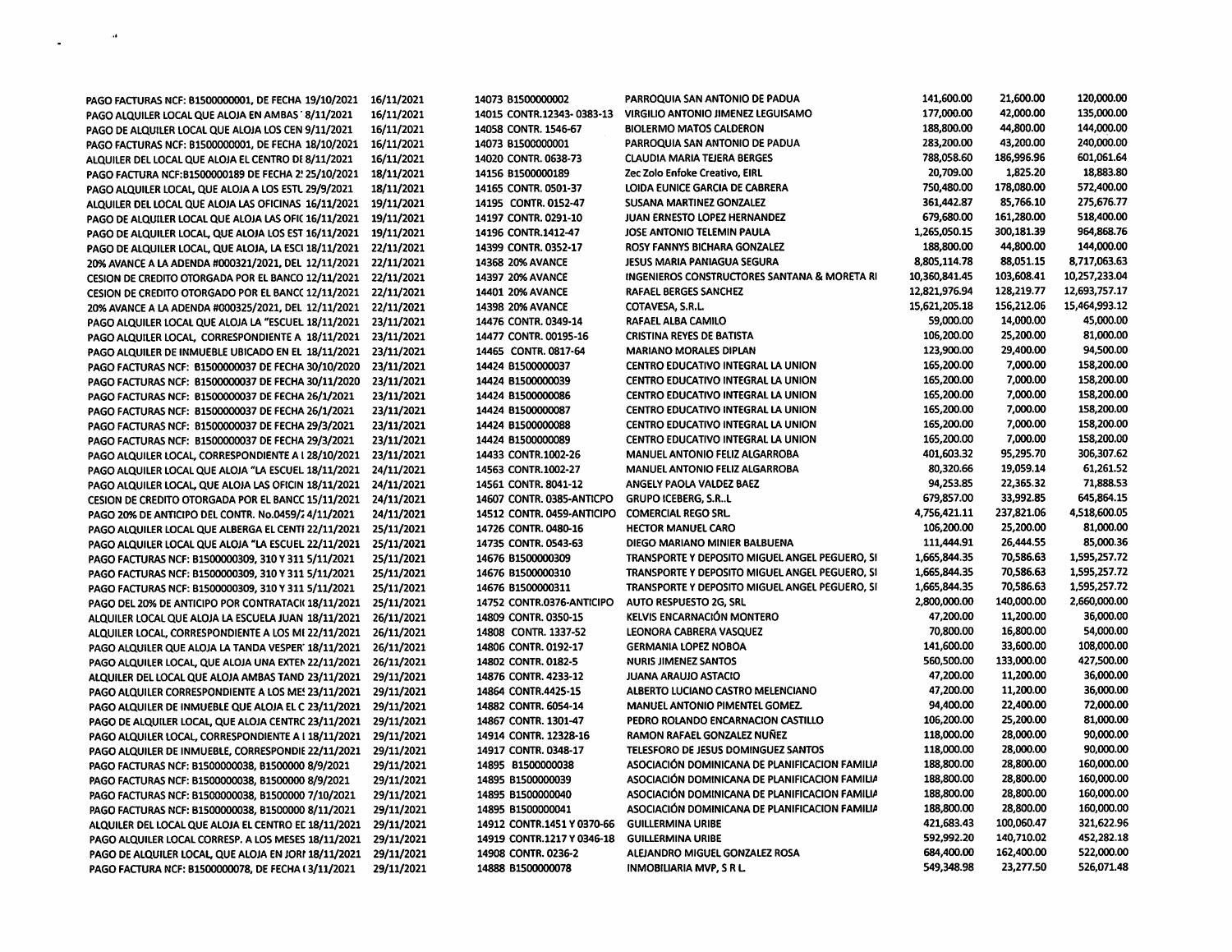| PAGO FACTURAS NCF: B1500000001, DE FECHA 19/10/2021   | 16/11/2021 | 14073 B1500000002          | PARROQUIA SAN ANTONIO DE PADUA                 | 141,600.00    | 21,600.00  | 120,000.00    |
|-------------------------------------------------------|------------|----------------------------|------------------------------------------------|---------------|------------|---------------|
| PAGO ALQUILER LOCAL QUE ALOJA EN AMBAS ' 8/11/2021    | 16/11/2021 | 14015 CONTR.12343-0383-13  | <b>VIRGILIO ANTONIO JIMENEZ LEGUISAMO</b>      | 177,000.00    | 42,000.00  | 135,000.00    |
| PAGO DE ALQUILER LOCAL QUE ALOJA LOS CEN 9/11/2021    | 16/11/2021 | 14058 CONTR. 1546-67       | <b>BIOLERMO MATOS CALDERON</b>                 | 188,800.00    | 44,800.00  | 144,000.00    |
| PAGO FACTURAS NCF: B1500000001, DE FECHA 18/10/2021   | 16/11/2021 | 14073 B1500000001          | PARROQUIA SAN ANTONIO DE PADUA                 | 283,200.00    | 43,200.00  | 240,000.00    |
| ALQUILER DEL LOCAL QUE ALOJA EL CENTRO DE 8/11/2021   | 16/11/2021 | 14020 CONTR. 0638-73       | <b>CLAUDIA MARIA TEJERA BERGES</b>             | 788,058.60    | 186,996.96 | 601,061.64    |
| PAGO FACTURA NCF:B1500000189 DE FECHA 2! 25/10/2021   | 18/11/2021 | 14156 81500000189          | Zec Zolo Enfoke Creativo, EIRL                 | 20,709.00     | 1,825.20   | 18,883.80     |
|                                                       | 18/11/2021 | 14165 CONTR. 0501-37       | LOIDA EUNICE GARCIA DE CABRERA                 | 750,480.00    | 178,080.00 | 572,400.00    |
| PAGO ALQUILER LOCAL, QUE ALOJA A LOS ESTU 29/9/2021   |            | 14195 CONTR. 0152-47       | SUSANA MARTINEZ GONZALEZ                       | 361,442.87    | 85,766.10  | 275,676.77    |
| ALQUILER DEL LOCAL QUE ALOJA LAS OFICINAS 16/11/2021  | 19/11/2021 | 14197 CONTR. 0291-10       | JUAN ERNESTO LOPEZ HERNANDEZ                   | 679,680.00    | 161,280.00 | 518,400.00    |
| PAGO DE ALQUILER LOCAL QUE ALOJA LAS OFIC 16/11/2021  | 19/11/2021 |                            | JOSE ANTONIO TELEMIN PAULA                     | 1,265,050.15  | 300,181.39 | 964,868.76    |
| PAGO DE ALQUILER LOCAL, QUE ALOJA LOS EST 16/11/2021  | 19/11/2021 | 14196 CONTR.1412-47        |                                                |               |            |               |
| PAGO DE ALQUILER LOCAL, QUE ALOJA, LA ESCI 18/11/2021 | 22/11/2021 | 14399 CONTR. 0352-17       | ROSY FANNYS BICHARA GONZALEZ                   | 188,800.00    | 44,800.00  | 144,000.00    |
| 20% AVANCE A LA ADENDA #000321/2021, DEL 12/11/2021   | 22/11/2021 | 14368 20% AVANCE           | <b>JESUS MARIA PANIAGUA SEGURA</b>             | 8,805,114.78  | 88,051.15  | 8,717,063.63  |
| CESION DE CREDITO OTORGADA POR EL BANCO 12/11/2021    | 22/11/2021 | 14397 20% AVANCE           | INGENIEROS CONSTRUCTORES SANTANA & MORETA RI   | 10,360,841.45 | 103,608.41 | 10,257,233.04 |
| CESION DE CREDITO OTORGADO POR EL BANCC 12/11/2021    | 22/11/2021 | <b>14401 20% AVANCE</b>    | RAFAEL BERGES SANCHEZ                          | 12,821,976.94 | 128,219.77 | 12,693,757.17 |
| 20% AVANCE A LA ADENDA #000325/2021, DEL 12/11/2021   | 22/11/2021 | 14398 20% AVANCE           | COTAVESA, S.R.L.                               | 15,621,205.18 | 156,212.06 | 15,464,993.12 |
| PAGO ALQUILER LOCAL QUE ALOJA LA "ESCUEL 18/11/2021   | 23/11/2021 | 14476 CONTR. 0349-14       | RAFAEL ALBA CAMILO                             | 59,000.00     | 14,000.00  | 45,000.00     |
| PAGO ALQUILER LOCAL, CORRESPONDIENTE A 18/11/2021     | 23/11/2021 | 14477 CONTR. 00195-16      | <b>CRISTINA REYES DE BATISTA</b>               | 106,200.00    | 25,200.00  | 81,000.00     |
| PAGO ALQUILER DE INMUEBLE UBICADO EN EL 18/11/2021    | 23/11/2021 | 14465 CONTR. 0817-64       | <b>MARIANO MORALES DIPLAN</b>                  | 123,900.00    | 29,400.00  | 94,500.00     |
| PAGO FACTURAS NCF: B1500000037 DE FECHA 30/10/2020    | 23/11/2021 | 14424 B1500000037          | <b>CENTRO EDUCATIVO INTEGRAL LA UNION</b>      | 165,200.00    | 7,000.00   | 158,200.00    |
| PAGO FACTURAS NCF: 81500000037 DE FECHA 30/11/2020    | 23/11/2021 | 14424 B1500000039          | CENTRO EDUCATIVO INTEGRAL LA UNION             | 165,200.00    | 7,000.00   | 158,200.00    |
| PAGO FACTURAS NCF: B1500000037 DE FECHA 26/1/2021     | 23/11/2021 | 14424 B1500000086          | CENTRO EDUCATIVO INTEGRAL LA UNION             | 165,200.00    | 7,000.00   | 158,200.00    |
| PAGO FACTURAS NCF: B1500000037 DE FECHA 26/1/2021     | 23/11/2021 | 14424 81500000087          | CENTRO EDUCATIVO INTEGRAL LA UNION             | 165,200.00    | 7,000.00   | 158,200.00    |
| PAGO FACTURAS NCF: 81500000037 DE FECHA 29/3/2021     | 23/11/2021 | 14424 B1500000088          | CENTRO EDUCATIVO INTEGRAL LA UNION             | 165,200.00    | 7,000.00   | 158,200.00    |
| PAGO FACTURAS NCF: B1500000037 DE FECHA 29/3/2021     | 23/11/2021 | 14424 B1500000089          | CENTRO EDUCATIVO INTEGRAL LA UNION             | 165,200.00    | 7,000.00   | 158,200.00    |
| PAGO ALQUILER LOCAL, CORRESPONDIENTE A I 28/10/2021   | 23/11/2021 | 14433 CONTR.1002-26        | <b>MANUEL ANTONIO FELIZ ALGARROBA</b>          | 401,603.32    | 95,295.70  | 306,307.62    |
| PAGO ALQUILER LOCAL QUE ALOJA "LA ESCUEL 18/11/2021   | 24/11/2021 | 14563 CONTR.1002-27        | <b>MANUEL ANTONIO FELIZ ALGARROBA</b>          | 80,320.66     | 19,059.14  | 61,261.52     |
| PAGO ALQUILER LOCAL, QUE ALOJA LAS OFICIN 18/11/2021  | 24/11/2021 | 14561 CONTR. 8041-12       | ANGELY PAOLA VALDEZ BAEZ                       | 94,253.85     | 22,365.32  | 71,888.53     |
| CESION DE CREDITO OTORGADA POR EL BANCC 15/11/2021    | 24/11/2021 | 14607 CONTR. 0385-ANTICPO  | <b>GRUPO ICEBERG, S.RL</b>                     | 679,857.00    | 33,992.85  | 645,864.15    |
| PAGO 20% DE ANTICIPO DEL CONTR. No.0459/2 4/11/2021   | 24/11/2021 | 14512 CONTR. 0459-ANTICIPO | <b>COMERCIAL REGO SRL.</b>                     | 4,756,421.11  | 237,821.06 | 4,518,600.05  |
| PAGO ALQUILER LOCAL QUE ALBERGA EL CENTI 22/11/2021   | 25/11/2021 | 14726 CONTR. 0480-16       | <b>HECTOR MANUEL CARO</b>                      | 106,200.00    | 25,200.00  | 81,000.00     |
| PAGO ALQUILER LOCAL QUE ALOJA "LA ESCUEL 22/11/2021   | 25/11/2021 | 14735 CONTR. 0543-63       | DIEGO MARIANO MINIER BALBUENA                  | 111,444.91    | 26,444.55  | 85,000.36     |
|                                                       | 25/11/2021 | 14676 81500000309          | TRANSPORTE Y DEPOSITO MIGUEL ANGEL PEGUERO, SI | 1,665,844.35  | 70,586.63  | 1,595,257.72  |
| PAGO FACTURAS NCF: B1500000309, 310 Y 311 5/11/2021   | 25/11/2021 | 14676 B1500000310          | TRANSPORTE Y DEPOSITO MIGUEL ANGEL PEGUERO, SI | 1,665,844.35  | 70,586.63  | 1,595,257.72  |
| PAGO FACTURAS NCF: B1500000309, 310 Y 311 5/11/2021   |            | 14676 B1500000311          | TRANSPORTE Y DEPOSITO MIGUEL ANGEL PEGUERO, SI | 1,665,844.35  | 70,586.63  | 1,595,257.72  |
| PAGO FACTURAS NCF: B1500000309, 310 Y 311 5/11/2021   | 25/11/2021 |                            | AUTO RESPUESTO 2G, SRL                         | 2,800,000.00  | 140,000.00 | 2,660,000.00  |
| PAGO DEL 20% DE ANTICIPO POR CONTRATACI(18/11/2021    | 25/11/2021 | 14752 CONTR.0376-ANTICIPO  |                                                | 47,200.00     | 11,200.00  | 36,000.00     |
| ALQUILER LOCAL QUE ALOJA LA ESCUELA JUAN 18/11/2021   | 26/11/2021 | 14809 CONTR. 0350-15       | KELVIS ENCARNACIÓN MONTERO                     |               |            |               |
| ALQUILER LOCAL, CORRESPONDIENTE A LOS MI 22/11/2021   | 26/11/2021 | 14808 CONTR. 1337-52       | LEONORA CABRERA VASQUEZ                        | 70,800.00     | 16,800.00  | 54,000.00     |
| PAGO ALQUILER QUE ALOJA LA TANDA VESPER 18/11/2021    | 26/11/2021 | 14806 CONTR. 0192-17       | <b>GERMANIA LOPEZ NOBOA</b>                    | 141,600.00    | 33,600.00  | 108,000.00    |
| PAGO ALQUILER LOCAL, QUE ALOJA UNA EXTEN 22/11/2021   | 26/11/2021 | 14802 CONTR. 0182-5        | <b>NURIS JIMENEZ SANTOS</b>                    | 560.500.00    | 133,000.00 | 427,500.00    |
| ALQUILER DEL LOCAL QUE ALOJA AMBAS TAND 23/11/2021    | 29/11/2021 | 14876 CONTR. 4233-12       | <b>JUANA ARAUJO ASTACIO</b>                    | 47,200.00     | 11,200.00  | 36,000.00     |
| PAGO ALQUILER CORRESPONDIENTE A LOS ME 23/11/2021     | 29/11/2021 | 14864 CONTR.4425-15        | ALBERTO LUCIANO CASTRO MELENCIANO              | 47,200.00     | 11,200.00  | 36,000.00     |
| PAGO ALQUILER DE INMUEBLE QUE ALOJA EL C 23/11/2021   | 29/11/2021 | 14882 CONTR. 6054-14       | <b>MANUEL ANTONIO PIMENTEL GOMEZ.</b>          | 94,400.00     | 22,400.00  | 72,000.00     |
| PAGO DE ALQUILER LOCAL, QUE ALOJA CENTRC 23/11/2021   | 29/11/2021 | 14867 CONTR. 1301-47       | PEDRO ROLANDO ENCARNACION CASTILLO             | 106,200.00    | 25,200.00  | 81,000.00     |
| PAGO ALQUILER LOCAL, CORRESPONDIENTE A I 18/11/2021   | 29/11/2021 | 14914 CONTR. 12328-16      | RAMON RAFAEL GONZALEZ NUÑEZ                    | 118,000.00    | 28,000.00  | 90,000.00     |
| PAGO ALQUILER DE INMUEBLE, CORRESPONDIE 22/11/2021    | 29/11/2021 | 14917 CONTR. 0348-17       | TELESFORO DE JESUS DOMINGUEZ SANTOS            | 118,000.00    | 28,000.00  | 90,000.00     |
| PAGO FACTURAS NCF: B1500000038, B1500000 8/9/2021     | 29/11/2021 | 14895 81500000038          | ASOCIACIÓN DOMINICANA DE PLANIFICACION FAMILIA | 188,800.00    | 28,800.00  | 160,000.00    |
| PAGO FACTURAS NCF: B1500000038, B1500000 8/9/2021     | 29/11/2021 | 14895 B1500000039          | ASOCIACIÓN DOMINICANA DE PLANIFICACION FAMILIA | 188,800.00    | 28,800.00  | 160,000.00    |
| PAGO FACTURAS NCF: B1500000038, B1500000 7/10/2021    | 29/11/2021 | 14895 B1500000040          | ASOCIACIÓN DOMINICANA DE PLANIFICACIÓN FAMILIA | 188,800.00    | 28,800.00  | 160,000.00    |
| PAGO FACTURAS NCF: B1500000038, B1500000 8/11/2021    | 29/11/2021 | 14895 B1500000041          | ASOCIACIÓN DOMINICANA DE PLANIFICACION FAMILIA | 188,800.00    | 28,800.00  | 160,000.00    |
| ALQUILER DEL LOCAL QUE ALOJA EL CENTRO EL 18/11/2021  | 29/11/2021 | 14912 CONTR.1451 Y 0370-66 | <b>GUILLERMINA URIBE</b>                       | 421,683.43    | 100,060.47 | 321,622.96    |
| PAGO ALQUILER LOCAL CORRESP. A LOS MESES 18/11/2021   | 29/11/2021 | 14919 CONTR.1217 Y 0346-18 | <b>GUILLERMINA URIBE</b>                       | 592,992.20    | 140,710.02 | 452,282.18    |
| PAGO DE ALQUILER LOCAL, QUE ALOJA EN JORI 18/11/2021  | 29/11/2021 | 14908 CONTR. 0236-2        | ALEJANDRO MIGUEL GONZALEZ ROSA                 | 684,400.00    | 162,400.00 | 522,000.00    |
| PAGO FACTURA NCF: B1500000078, DE FECHA (3/11/2021    | 29/11/2021 | 14888 B1500000078          | <b>INMOBILIARIA MVP, S R L.</b>                | 549,348.98    | 23,277.50  | 526,071.48    |
|                                                       |            |                            |                                                |               |            |               |

 $\label{eq:1} \frac{1}{\sqrt{2\pi}}\int_{0}^{\pi} \frac{1}{\sqrt{2\pi}}\left(\frac{1}{\sqrt{2\pi}}\right)^{2\pi} \frac{1}{\sqrt{2\pi}}\left(\frac{1}{\sqrt{2\pi}}\right)^{2\pi} \frac{1}{\sqrt{2\pi}}\frac{1}{\sqrt{2\pi}}\frac{1}{\sqrt{2\pi}}\frac{1}{\sqrt{2\pi}}\frac{1}{\sqrt{2\pi}}\frac{1}{\sqrt{2\pi}}\frac{1}{\sqrt{2\pi}}\frac{1}{\sqrt{2\pi}}\frac{1}{\sqrt{2\pi}}\frac{1}{\sqrt{2\pi}}\frac{1$